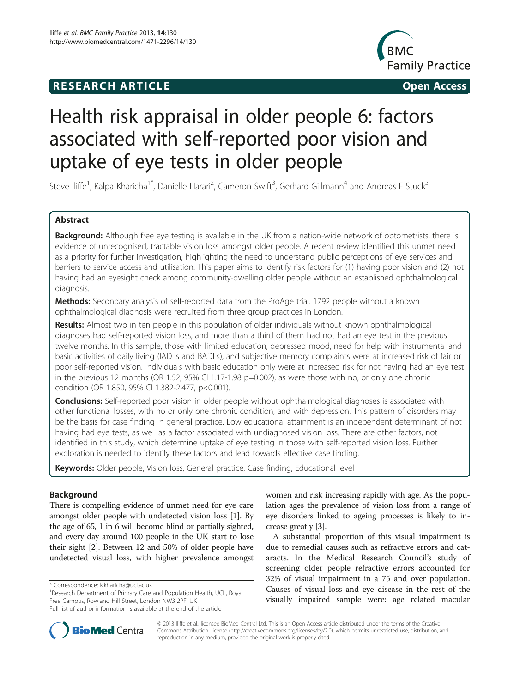## **RESEARCH ARTICLE Example 2014 Open Access**



# Health risk appraisal in older people 6: factors associated with self-reported poor vision and uptake of eye tests in older people

Steve Iliffe<sup>1</sup>, Kalpa Kharicha<sup>1\*</sup>, Danielle Harari<sup>2</sup>, Cameron Swift<sup>3</sup>, Gerhard Gillmann<sup>4</sup> and Andreas E Stuck<sup>5</sup>

## Abstract

Background: Although free eye testing is available in the UK from a nation-wide network of optometrists, there is evidence of unrecognised, tractable vision loss amongst older people. A recent review identified this unmet need as a priority for further investigation, highlighting the need to understand public perceptions of eye services and barriers to service access and utilisation. This paper aims to identify risk factors for (1) having poor vision and (2) not having had an eyesight check among community-dwelling older people without an established ophthalmological diagnosis.

Methods: Secondary analysis of self-reported data from the ProAge trial. 1792 people without a known ophthalmological diagnosis were recruited from three group practices in London.

Results: Almost two in ten people in this population of older individuals without known ophthalmological diagnoses had self-reported vision loss, and more than a third of them had not had an eye test in the previous twelve months. In this sample, those with limited education, depressed mood, need for help with instrumental and basic activities of daily living (IADLs and BADLs), and subjective memory complaints were at increased risk of fair or poor self-reported vision. Individuals with basic education only were at increased risk for not having had an eye test in the previous 12 months (OR 1.52, 95% CI 1.17-1.98  $p=0.002$ ), as were those with no, or only one chronic condition (OR 1.850, 95% CI 1.382-2.477, p<0.001).

**Conclusions:** Self-reported poor vision in older people without ophthalmological diagnoses is associated with other functional losses, with no or only one chronic condition, and with depression. This pattern of disorders may be the basis for case finding in general practice. Low educational attainment is an independent determinant of not having had eye tests, as well as a factor associated with undiagnosed vision loss. There are other factors, not identified in this study, which determine uptake of eye testing in those with self-reported vision loss. Further exploration is needed to identify these factors and lead towards effective case finding.

Keywords: Older people, Vision loss, General practice, Case finding, Educational level

## Background

There is compelling evidence of unmet need for eye care amongst older people with undetected vision loss [[1\]](#page-4-0). By the age of 65, 1 in 6 will become blind or partially sighted, and every day around 100 people in the UK start to lose their sight [[2](#page-5-0)]. Between 12 and 50% of older people have undetected visual loss, with higher prevalence amongst

women and risk increasing rapidly with age. As the population ages the prevalence of vision loss from a range of eye disorders linked to ageing processes is likely to increase greatly [\[3](#page-5-0)].

A substantial proportion of this visual impairment is due to remedial causes such as refractive errors and cataracts. In the Medical Research Council's study of screening older people refractive errors accounted for 32% of visual impairment in a 75 and over population. Causes of visual loss and eye disease in the rest of the visually impaired sample were: age related macular



© 2013 Iliffe et al.; licensee BioMed Central Ltd. This is an Open Access article distributed under the terms of the Creative Commons Attribution License [\(http://creativecommons.org/licenses/by/2.0\)](http://creativecommons.org/licenses/by/2.0), which permits unrestricted use, distribution, and reproduction in any medium, provided the original work is properly cited.

<sup>\*</sup> Correspondence: [k.kharicha@ucl.ac.uk](mailto:k.kharicha@ucl.ac.uk) <sup>1</sup>

<sup>&</sup>lt;sup>1</sup> Research Department of Primary Care and Population Health, UCL, Royal Free Campus, Rowland Hill Street, London NW3 2PF, UK

Full list of author information is available at the end of the article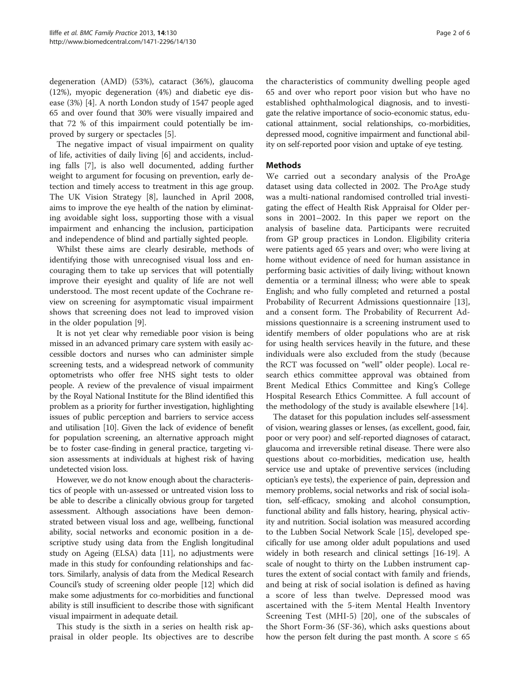degeneration (AMD) (53%), cataract (36%), glaucoma (12%), myopic degeneration (4%) and diabetic eye disease (3%) [[4\]](#page-5-0). A north London study of 1547 people aged 65 and over found that 30% were visually impaired and that 72 % of this impairment could potentially be improved by surgery or spectacles [[5](#page-5-0)].

The negative impact of visual impairment on quality of life, activities of daily living [[6\]](#page-5-0) and accidents, including falls [[7\]](#page-5-0), is also well documented, adding further weight to argument for focusing on prevention, early detection and timely access to treatment in this age group. The UK Vision Strategy [[8\]](#page-5-0), launched in April 2008, aims to improve the eye health of the nation by eliminating avoidable sight loss, supporting those with a visual impairment and enhancing the inclusion, participation and independence of blind and partially sighted people.

Whilst these aims are clearly desirable, methods of identifying those with unrecognised visual loss and encouraging them to take up services that will potentially improve their eyesight and quality of life are not well understood. The most recent update of the Cochrane review on screening for asymptomatic visual impairment shows that screening does not lead to improved vision in the older population [\[9](#page-5-0)].

It is not yet clear why remediable poor vision is being missed in an advanced primary care system with easily accessible doctors and nurses who can administer simple screening tests, and a widespread network of community optometrists who offer free NHS sight tests to older people. A review of the prevalence of visual impairment by the Royal National Institute for the Blind identified this problem as a priority for further investigation, highlighting issues of public perception and barriers to service access and utilisation [\[10\]](#page-5-0). Given the lack of evidence of benefit for population screening, an alternative approach might be to foster case-finding in general practice, targeting vision assessments at individuals at highest risk of having undetected vision loss.

However, we do not know enough about the characteristics of people with un-assessed or untreated vision loss to be able to describe a clinically obvious group for targeted assessment. Although associations have been demonstrated between visual loss and age, wellbeing, functional ability, social networks and economic position in a descriptive study using data from the English longitudinal study on Ageing (ELSA) data [[11](#page-5-0)], no adjustments were made in this study for confounding relationships and factors. Similarly, analysis of data from the Medical Research Council's study of screening older people [\[12\]](#page-5-0) which did make some adjustments for co-morbidities and functional ability is still insufficient to describe those with significant visual impairment in adequate detail.

This study is the sixth in a series on health risk appraisal in older people. Its objectives are to describe

the characteristics of community dwelling people aged 65 and over who report poor vision but who have no established ophthalmological diagnosis, and to investigate the relative importance of socio-economic status, educational attainment, social relationships, co-morbidities, depressed mood, cognitive impairment and functional ability on self-reported poor vision and uptake of eye testing.

## Methods

We carried out a secondary analysis of the ProAge dataset using data collected in 2002. The ProAge study was a multi-national randomised controlled trial investigating the effect of Health Risk Appraisal for Older persons in 2001–2002. In this paper we report on the analysis of baseline data. Participants were recruited from GP group practices in London. Eligibility criteria were patients aged 65 years and over; who were living at home without evidence of need for human assistance in performing basic activities of daily living; without known dementia or a terminal illness; who were able to speak English; and who fully completed and returned a postal Probability of Recurrent Admissions questionnaire [\[13](#page-5-0)], and a consent form. The Probability of Recurrent Admissions questionnaire is a screening instrument used to identify members of older populations who are at risk for using health services heavily in the future, and these individuals were also excluded from the study (because the RCT was focussed on "well" older people). Local research ethics committee approval was obtained from Brent Medical Ethics Committee and King's College Hospital Research Ethics Committee. A full account of the methodology of the study is available elsewhere [\[14](#page-5-0)].

The dataset for this population includes self-assessment of vision, wearing glasses or lenses, (as excellent, good, fair, poor or very poor) and self-reported diagnoses of cataract, glaucoma and irreversible retinal disease. There were also questions about co-morbidities, medication use, health service use and uptake of preventive services (including optician's eye tests), the experience of pain, depression and memory problems, social networks and risk of social isolation, self-efficacy, smoking and alcohol consumption, functional ability and falls history, hearing, physical activity and nutrition. Social isolation was measured according to the Lubben Social Network Scale [[15](#page-5-0)], developed specifically for use among older adult populations and used widely in both research and clinical settings [\[16-19\]](#page-5-0). A scale of nought to thirty on the Lubben instrument captures the extent of social contact with family and friends, and being at risk of social isolation is defined as having a score of less than twelve. Depressed mood was ascertained with the 5-item Mental Health Inventory Screening Test (MHI-5) [[20\]](#page-5-0), one of the subscales of the Short Form-36 (SF-36), which asks questions about how the person felt during the past month. A score  $\leq 65$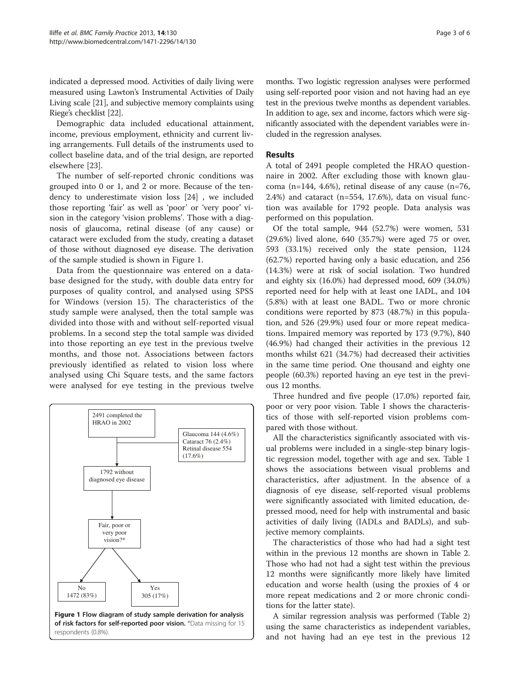indicated a depressed mood. Activities of daily living were measured using Lawton's Instrumental Activities of Daily Living scale [\[21\]](#page-5-0), and subjective memory complaints using Riege's checklist [\[22\]](#page-5-0).

Demographic data included educational attainment, income, previous employment, ethnicity and current living arrangements. Full details of the instruments used to collect baseline data, and of the trial design, are reported elsewhere [[23](#page-5-0)].

The number of self-reported chronic conditions was grouped into 0 or 1, and 2 or more. Because of the tendency to underestimate vision loss [\[24\]](#page-5-0) , we included those reporting 'fair' as well as 'poor' or 'very poor' vision in the category 'vision problems'. Those with a diagnosis of glaucoma, retinal disease (of any cause) or cataract were excluded from the study, creating a dataset of those without diagnosed eye disease. The derivation of the sample studied is shown in Figure 1.

Data from the questionnaire was entered on a database designed for the study, with double data entry for purposes of quality control, and analysed using SPSS for Windows (version 15). The characteristics of the study sample were analysed, then the total sample was divided into those with and without self-reported visual problems. In a second step the total sample was divided into those reporting an eye test in the previous twelve months, and those not. Associations between factors previously identified as related to vision loss where analysed using Chi Square tests, and the same factors were analysed for eye testing in the previous twelve



months. Two logistic regression analyses were performed using self-reported poor vision and not having had an eye test in the previous twelve months as dependent variables. In addition to age, sex and income, factors which were significantly associated with the dependent variables were included in the regression analyses.

## Results

A total of 2491 people completed the HRAO questionnaire in 2002. After excluding those with known glaucoma (n=144, 4.6%), retinal disease of any cause (n=76, 2.4%) and cataract (n=554, 17.6%), data on visual function was available for 1792 people. Data analysis was performed on this population.

Of the total sample, 944 (52.7%) were women, 531 (29.6%) lived alone, 640 (35.7%) were aged 75 or over, 593 (33.1%) received only the state pension, 1124 (62.7%) reported having only a basic education, and 256 (14.3%) were at risk of social isolation. Two hundred and eighty six (16.0%) had depressed mood, 609 (34.0%) reported need for help with at least one IADL, and 104 (5.8%) with at least one BADL. Two or more chronic conditions were reported by 873 (48.7%) in this population, and 526 (29.9%) used four or more repeat medications. Impaired memory was reported by 173 (9.7%), 840 (46.9%) had changed their activities in the previous 12 months whilst 621 (34.7%) had decreased their activities in the same time period. One thousand and eighty one people (60.3%) reported having an eye test in the previous 12 months.

Three hundred and five people (17.0%) reported fair, poor or very poor vision. Table [1](#page-3-0) shows the characteristics of those with self-reported vision problems compared with those without.

All the characteristics significantly associated with visual problems were included in a single-step binary logistic regression model, together with age and sex. Table [1](#page-3-0) shows the associations between visual problems and characteristics, after adjustment. In the absence of a diagnosis of eye disease, self-reported visual problems were significantly associated with limited education, depressed mood, need for help with instrumental and basic activities of daily living (IADLs and BADLs), and subjective memory complaints.

The characteristics of those who had had a sight test within in the previous 12 months are shown in Table [2](#page-3-0). Those who had not had a sight test within the previous 12 months were significantly more likely have limited education and worse health (using the proxies of 4 or more repeat medications and 2 or more chronic conditions for the latter state).

A similar regression analysis was performed (Table [2](#page-3-0)) using the same characteristics as independent variables, and not having had an eye test in the previous 12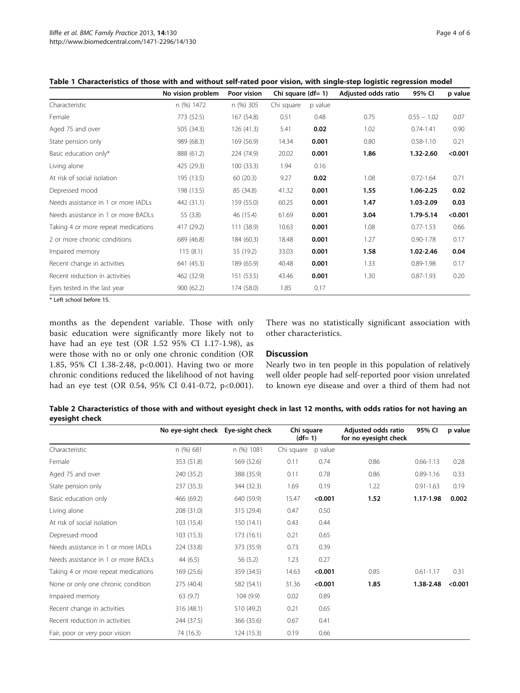<span id="page-3-0"></span>Table 1 Characteristics of those with and without self-rated poor vision, with single-step logistic regression model

|                                     | No vision problem | Poor vision | Chi square $(df= 1)$ |         | Adjusted odds ratio | 95% CI        | p value |
|-------------------------------------|-------------------|-------------|----------------------|---------|---------------------|---------------|---------|
| Characteristic                      | n (%) 1472        | n (%) 305   | Chi square           | p value |                     |               |         |
| Female                              | 773 (52.5)        | 167 (54.8)  | 0.51                 | 0.48    | 0.75                | $0.55 - 1.02$ | 0.07    |
| Aged 75 and over                    | 505 (34.3)        | 126(41.3)   | 5.41                 | 0.02    | 1.02                | $0.74 - 1.41$ | 0.90    |
| State pension only                  | 989 (68.3)        | 169 (56.9)  | 14.34                | 0.001   | 0.80                | $0.58 - 1.10$ | 0.21    |
| Basic education only*               | 888 (61.2)        | 224 (74.9)  | 20.02                | 0.001   | 1.86                | 1.32-2.60     | < 0.001 |
| Living alone                        | 425 (29.3)        | 100(33.3)   | 1.94                 | 0.16    |                     |               |         |
| At risk of social isolation         | 195 (13.5)        | 60(20.3)    | 9.27                 | 0.02    | 1.08                | $0.72 - 1.64$ | 0.71    |
| Depressed mood                      | 198 (13.5)        | 85 (34.8)   | 41.32                | 0.001   | 1.55                | 1.06-2.25     | 0.02    |
| Needs assistance in 1 or more IADLs | 442 (31.1)        | 159 (55.0)  | 60.25                | 0.001   | 1.47                | 1.03-2.09     | 0.03    |
| Needs assistance in 1 or more BADLs | 55 (3.8)          | 46 (15.4)   | 61.69                | 0.001   | 3.04                | 1.79-5.14     | < 0.001 |
| Taking 4 or more repeat medications | 417 (29.2)        | 111 (38.9)  | 10.63                | 0.001   | 1.08                | $0.77 - 1.53$ | 0.66    |
| 2 or more chronic conditions        | 689 (46.8)        | 184 (60.3)  | 18.48                | 0.001   | 1.27                | $0.90 - 1.78$ | 0.17    |
| Impaired memory                     | 115(8.1)          | 55 (19.2)   | 33.03                | 0.001   | 1.58                | 1.02-2.46     | 0.04    |
| Recent change in activities         | 641 (45.3)        | 189 (65.9)  | 40.48                | 0.001   | 1.33                | $0.89 - 1.98$ | 0.17    |
| Recent reduction in activities      | 462 (32.9)        | 151 (53.5)  | 43.46                | 0.001   | 1.30                | $0.87 - 1.93$ | 0.20    |
| Eyes tested in the last year        | 900(62.2)         | 174 (58.0)  | 1.85                 | 0.17    |                     |               |         |
| .                                   |                   |             |                      |         |                     |               |         |

\* Left school before 15.

months as the dependent variable. Those with only basic education were significantly more likely not to have had an eye test (OR 1.52 95% CI 1.17-1.98), as were those with no or only one chronic condition (OR 1.85, 95% CI 1.38-2.48, p<0.001). Having two or more chronic conditions reduced the likelihood of not having had an eye test (OR 0.54, 95% CI 0.41-0.72, p<0.001). There was no statistically significant association with other characteristics.

## Discussion

Nearly two in ten people in this population of relatively well older people had self-reported poor vision unrelated to known eye disease and over a third of them had not

Table 2 Characteristics of those with and without eyesight check in last 12 months, with odds ratios for not having an eyesight check

|                                     | No eye-sight check Eye-sight check<br>n (%) 681 | n (%) 1081 | Chi square<br>$(df= 1)$ |         | Adjusted odds ratio<br>for no eyesight check | 95% CI        | p value |
|-------------------------------------|-------------------------------------------------|------------|-------------------------|---------|----------------------------------------------|---------------|---------|
| Characteristic                      |                                                 |            | Chi square              | p value |                                              |               |         |
| Female                              | 353 (51.8)                                      | 569 (52.6) | 0.11                    | 0.74    | 0.86                                         | $0.66 - 1.13$ | 0.28    |
| Aged 75 and over                    | 240 (35.2)                                      | 388 (35.9) | 0.11                    | 0.78    | 0.86                                         | $0.89 - 1.16$ | 0.33    |
| State pension only                  | 237 (35.3)                                      | 344 (32.3) | 1.69                    | 0.19    | 1.22                                         | $0.91 - 1.63$ | 0.19    |
| Basic education only                | 466 (69.2)                                      | 640 (59.9) | 15.47                   | < 0.001 | 1.52                                         | 1.17-1.98     | 0.002   |
| Living alone                        | 208 (31.0)                                      | 315 (29.4) | 0.47                    | 0.50    |                                              |               |         |
| At risk of social isolation         | 103 (15.4)                                      | 150 (14.1) | 0.43                    | 0.44    |                                              |               |         |
| Depressed mood                      | 103 (15.3)                                      | 173(16.1)  | 0.21                    | 0.65    |                                              |               |         |
| Needs assistance in 1 or more IADLs | 224 (33.8)                                      | 373 (35.9) | 0.73                    | 0.39    |                                              |               |         |
| Needs assistance in 1 or more BADLs | 44 $(6.5)$                                      | 56(5.2)    | 1.23                    | 0.27    |                                              |               |         |
| Taking 4 or more repeat medications | 169 (25.6)                                      | 359 (34.5) | 14.63                   | < 0.001 | 0.85                                         | $0.61 - 1.17$ | 0.31    |
| None or only one chronic condition  | 275 (40.4)                                      | 582 (54.1) | 31.36                   | < 0.001 | 1.85                                         | 1.38-2.48     | < 0.001 |
| Impaired memory                     | 63(9.7)                                         | 104(9.9)   | 0.02                    | 0.89    |                                              |               |         |
| Recent change in activities         | 316 (48.1)                                      | 510 (49.2) | 0.21                    | 0.65    |                                              |               |         |
| Recent reduction in activities      | 244 (37.5)                                      | 366 (35.6) | 0.67                    | 0.41    |                                              |               |         |
| Fair, poor or very poor vision      | 74 (16.3)                                       | 124 (15.3) | 0.19                    | 0.66    |                                              |               |         |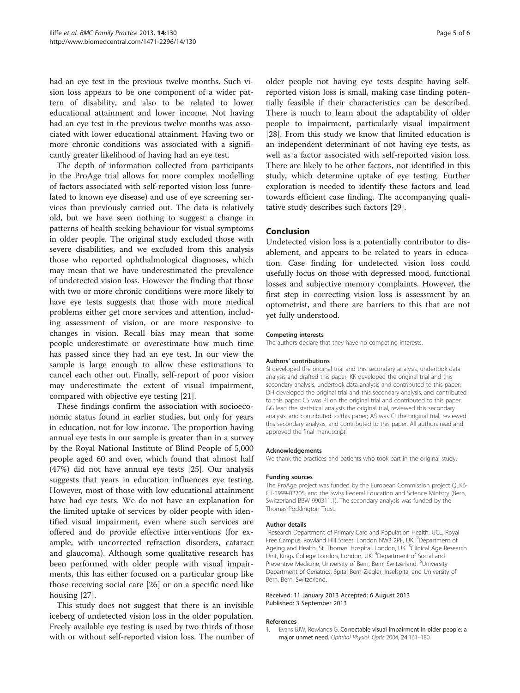<span id="page-4-0"></span>had an eye test in the previous twelve months. Such vision loss appears to be one component of a wider pattern of disability, and also to be related to lower educational attainment and lower income. Not having had an eye test in the previous twelve months was associated with lower educational attainment. Having two or more chronic conditions was associated with a significantly greater likelihood of having had an eye test.

The depth of information collected from participants in the ProAge trial allows for more complex modelling of factors associated with self-reported vision loss (unrelated to known eye disease) and use of eye screening services than previously carried out. The data is relatively old, but we have seen nothing to suggest a change in patterns of health seeking behaviour for visual symptoms in older people. The original study excluded those with severe disabilities, and we excluded from this analysis those who reported ophthalmological diagnoses, which may mean that we have underestimated the prevalence of undetected vision loss. However the finding that those with two or more chronic conditions were more likely to have eye tests suggests that those with more medical problems either get more services and attention, including assessment of vision, or are more responsive to changes in vision. Recall bias may mean that some people underestimate or overestimate how much time has passed since they had an eye test. In our view the sample is large enough to allow these estimations to cancel each other out. Finally, self-report of poor vision may underestimate the extent of visual impairment, compared with objective eye testing [[21](#page-5-0)].

These findings confirm the association with socioeconomic status found in earlier studies, but only for years in education, not for low income. The proportion having annual eye tests in our sample is greater than in a survey by the Royal National Institute of Blind People of 5,000 people aged 60 and over, which found that almost half (47%) did not have annual eye tests [\[25](#page-5-0)]. Our analysis suggests that years in education influences eye testing. However, most of those with low educational attainment have had eye tests. We do not have an explanation for the limited uptake of services by older people with identified visual impairment, even where such services are offered and do provide effective interventions (for example, with uncorrected refraction disorders, cataract and glaucoma). Although some qualitative research has been performed with older people with visual impairments, this has either focused on a particular group like those receiving social care [[26\]](#page-5-0) or on a specific need like housing [\[27\]](#page-5-0).

This study does not suggest that there is an invisible iceberg of undetected vision loss in the older population. Freely available eye testing is used by two thirds of those with or without self-reported vision loss. The number of older people not having eye tests despite having selfreported vision loss is small, making case finding potentially feasible if their characteristics can be described. There is much to learn about the adaptability of older people to impairment, particularly visual impairment [[28\]](#page-5-0). From this study we know that limited education is an independent determinant of not having eye tests, as well as a factor associated with self-reported vision loss. There are likely to be other factors, not identified in this study, which determine uptake of eye testing. Further exploration is needed to identify these factors and lead towards efficient case finding. The accompanying qualitative study describes such factors [\[29\]](#page-5-0).

## Conclusion

Undetected vision loss is a potentially contributor to disablement, and appears to be related to years in education. Case finding for undetected vision loss could usefully focus on those with depressed mood, functional losses and subjective memory complaints. However, the first step in correcting vision loss is assessment by an optometrist, and there are barriers to this that are not yet fully understood.

#### Competing interests

The authors declare that they have no competing interests.

#### Authors' contributions

SI developed the original trial and this secondary analysis, undertook data analysis and drafted this paper; KK developed the original trial and this secondary analysis, undertook data analysis and contributed to this paper; DH developed the original trial and this secondary analysis, and contributed to this paper; CS was PI on the original trial and contributed to this paper; GG lead the statistical analysis the original trial, reviewed this secondary analysis, and contributed to this paper; AS was CI the original trial, reviewed this secondary analysis, and contributed to this paper. All authors read and approved the final manuscript.

#### Acknowledgements

We thank the practices and patients who took part in the original study.

#### Funding sources

The ProAge project was funded by the European Commission project QLK6- CT-1999-02205, and the Swiss Federal Education and Science Ministry (Bern, Switzerland BBW 990311.1). The secondary analysis was funded by the Thomas Pocklington Trust.

#### Author details

<sup>1</sup> Research Department of Primary Care and Population Health, UCL, Royal Free Campus, Rowland Hill Street, London NW3 2PF, UK. <sup>2</sup>Department of Ageing and Health, St. Thomas' Hospital, London, UK. <sup>3</sup>Clinical Age Research Unit, Kings College London, London, UK. <sup>4</sup> Department of Social and Preventive Medicine, University of Bern, Bern, Switzerland. <sup>5</sup>University Department of Geriatrics, Spital Bern-Ziegler, Inselspital and University of Bern, Bern, Switzerland.

#### Received: 11 January 2013 Accepted: 6 August 2013 Published: 3 September 2013

#### References

1. Evans BJW, Rowlands G: Correctable visual impairment in older people: a major unmet need. Ophthal Physiol. Optic 2004, 24:161–180.